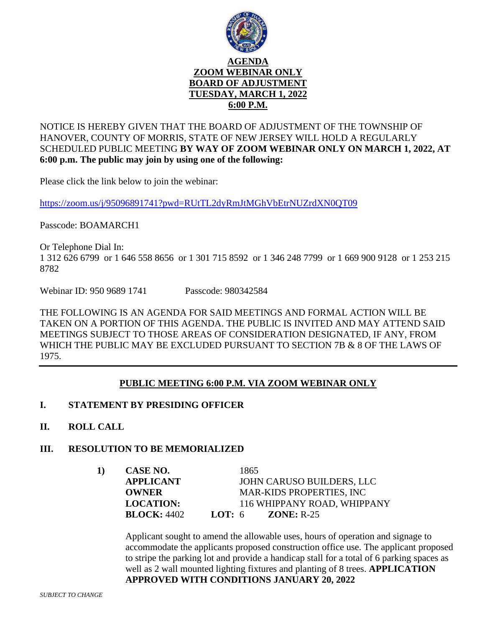

NOTICE IS HEREBY GIVEN THAT THE BOARD OF ADJUSTMENT OF THE TOWNSHIP OF HANOVER, COUNTY OF MORRIS, STATE OF NEW JERSEY WILL HOLD A REGULARLY SCHEDULED PUBLIC MEETING **BY WAY OF ZOOM WEBINAR ONLY ON MARCH 1, 2022, AT 6:00 p.m. The public may join by using one of the following:**

Please click the link below to join the webinar:

<https://zoom.us/j/95096891741?pwd=RUtTL2dyRmJtMGhVbEtrNUZrdXN0QT09>

Passcode: BOAMARCH1

Or Telephone Dial In: 1 312 626 6799 or 1 646 558 8656 or 1 301 715 8592 or 1 346 248 7799 or 1 669 900 9128 or 1 253 215 8782

Webinar ID: 950 9689 1741 Passcode: 980342584

THE FOLLOWING IS AN AGENDA FOR SAID MEETINGS AND FORMAL ACTION WILL BE TAKEN ON A PORTION OF THIS AGENDA. THE PUBLIC IS INVITED AND MAY ATTEND SAID MEETINGS SUBJECT TO THOSE AREAS OF CONSIDERATION DESIGNATED, IF ANY, FROM WHICH THE PUBLIC MAY BE EXCLUDED PURSUANT TO SECTION 7B & 8 OF THE LAWS OF 1975.

## **PUBLIC MEETING 6:00 P.M. VIA ZOOM WEBINAR ONLY**

- **I. STATEMENT BY PRESIDING OFFICER**
- **II. ROLL CALL**

## **III. RESOLUTION TO BE MEMORIALIZED**

**1) CASE NO.** 1865 **APPLICANT** JOHN CARUSO BUILDERS, LLC **OWNER MAR-KIDS PROPERTIES, INC LOCATION:** 116 WHIPPANY ROAD, WHIPPANY **BLOCK:** 4402 **LOT:** 6 **ZONE:** R-25

Applicant sought to amend the allowable uses, hours of operation and signage to accommodate the applicants proposed construction office use. The applicant proposed to stripe the parking lot and provide a handicap stall for a total of 6 parking spaces as well as 2 wall mounted lighting fixtures and planting of 8 trees. **APPLICATION APPROVED WITH CONDITIONS JANUARY 20, 2022**